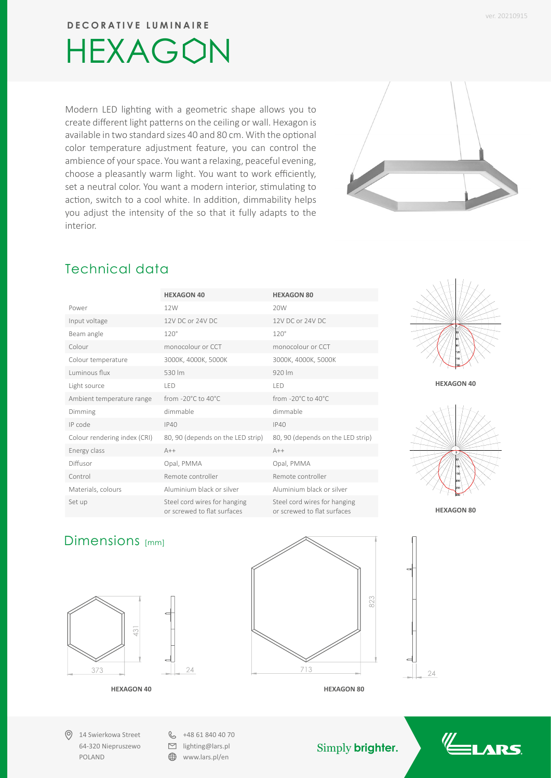**DECORATIVE LUMINAIRE**

## HEXAGON

Modern LED lighting with a geometric shape allows you to create different light patterns on the ceiling or wall. Hexagon is available in two standard sizes 40 and 80 cm. With the optional color temperature adjustment feature, you can control the ambience of your space. You want a relaxing, peaceful evening, choose a pleasantly warm light. You want to work efficiently, set a neutral color. You want a modern interior, stimulating to action, switch to a cool white. In addition, dimmability helps you adjust the intensity of the so that it fully adapts to the interior.



## Technical data

| Technical data               |                                                             |                                                             |
|------------------------------|-------------------------------------------------------------|-------------------------------------------------------------|
|                              | <b>HEXAGON 40</b>                                           | <b>HEXAGON 80</b>                                           |
| Power                        | 12W                                                         | 20W                                                         |
| Input voltage                | 12V DC or 24V DC                                            | 12V DC or 24V DC                                            |
| Beam angle                   | $120^\circ$                                                 | $120^\circ$                                                 |
| Colour                       | monocolour or CCT                                           | monocolour or CCT                                           |
| Colour temperature           | 3000K, 4000K, 5000K                                         | 3000K, 4000K, 5000K                                         |
| Luminous flux                | 530 lm                                                      | 920 lm                                                      |
| Light source                 | LED                                                         | LED                                                         |
| Ambient temperature range    | from -20°C to 40°C                                          | from -20°C to 40°C                                          |
| Dimming                      | dimmable                                                    | dimmable                                                    |
| IP code                      | IP40                                                        | IP40                                                        |
| Colour rendering index (CRI) | 80, 90 (depends on the LED strip)                           | 80, 90 (depends on the LED strip)                           |
| Energy class                 | $A++$                                                       | $A++$                                                       |
| Diffusor                     | Opal, PMMA                                                  | Opal, PMMA                                                  |
| Control                      | Remote controller                                           | Remote controller                                           |
| Materials, colours           | Aluminium black or silver                                   | Aluminium black or silver                                   |
| Set up                       | Steel cord wires for hanging<br>or screwed to flat surfaces | Steel cord wires for hanging<br>or screwed to flat surfaces |





### Dimensions [mm]



14 Swierkowa Street 64-320 Niepruszewo POLAND

 $\&$  +48 61 840 40 70  $\Box$  lighting@lars.pl

**WWW.lars.pl/en** 

 $\gamma_A$ 



**HEXAGON 40 HEXAGON 80**

Simply **brighter.**